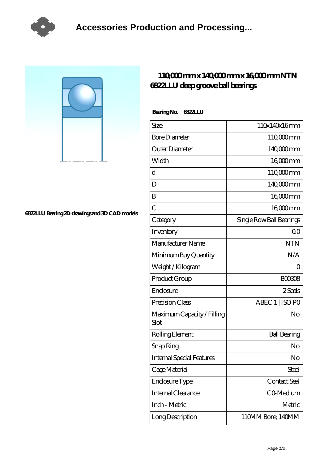

## **[6822LLU Bearing 2D drawings and 3D CAD models](https://m.tvqso.com/pic-166233.html)**

## **[110,000 mm x 140,000 mm x 16,000 mm NTN](https://m.tvqso.com/ar-166233-ntn-6822llu-deep-groove-ball-bearings.html) [6822LLU deep groove ball bearings](https://m.tvqso.com/ar-166233-ntn-6822llu-deep-groove-ball-bearings.html)**

 **Bearing No. 6822LLU**

| Size                               | 110x140x16mm             |
|------------------------------------|--------------------------|
| <b>Bore Diameter</b>               | 110,000 mm               |
| Outer Diameter                     | 140,000mm                |
| Width                              | $1600$ mm                |
| $\mathbf d$                        | 110 <sub>c</sub> comm    |
| D                                  | 140,000 mm               |
| B                                  | 16000mm                  |
| $\overline{C}$                     | 16000mm                  |
| Category                           | Single Row Ball Bearings |
| Inventory                          | $\Omega$ <sup>O</sup>    |
| Manufacturer Name                  | <b>NTN</b>               |
| Minimum Buy Quantity               | N/A                      |
| Weight / Kilogram                  | $\left( \right)$         |
| Product Group                      | <b>BOO308</b>            |
| Enclosure                          | 2 Seals                  |
| Precision Class                    | ABEC 1   ISO PO          |
| Maximum Capacity / Filling<br>Slot | No                       |
| Rolling Element                    | <b>Ball Bearing</b>      |
| Snap Ring                          | No                       |
| <b>Internal Special Features</b>   | No                       |
| Cage Material                      | <b>Steel</b>             |
| Enclosure Type                     | Contact Seal             |
| Internal Clearance                 | CO-Medium                |
| Inch - Metric                      | Metric                   |
| Long Description                   | 110MM Bore, 140MM        |